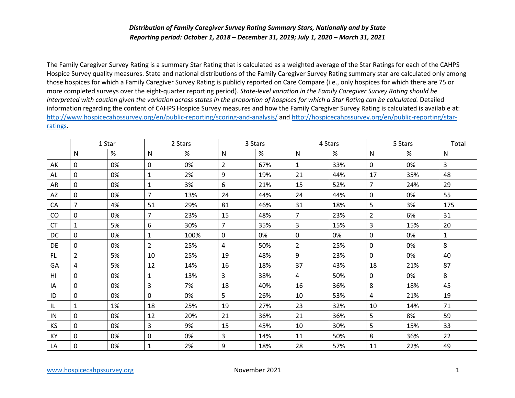## *Distribution of Family Caregiver Survey Rating Summary Stars, Nationally and by State Reporting period: October 1, 2018 – December 31, 2019; July 1, 2020 – March 31, 2021*

The Family Caregiver Survey Rating is a summary Star Rating that is calculated as a weighted average of the Star Ratings for each of the CAHPS Hospice Survey quality measures. State and national distributions of the Family Caregiver Survey Rating summary star are calculated only among those hospices for which a Family Caregiver Survey Rating is publicly reported on Care Compare (i.e., only hospices for which there are 75 or more completed surveys over the eight-quarter reporting period). *State-level variation in the Family Caregiver Survey Rating should be interpreted with caution given the variation across states in the proportion of hospices for which a Star Rating can be calculated.* Detailed information regarding the content of CAHPS Hospice Survey measures and how the Family Caregiver Survey Rating is calculated is available at: <http://www.hospicecahpssurvey.org/en/public-reporting/scoring-and-analysis/> and [http://hospicecahpssurvey.org/en/public-reporting/star](http://hospicecahpssurvey.org/en/public-reporting/star-ratings)[ratings.](http://hospicecahpssurvey.org/en/public-reporting/star-ratings)

|                | 1 Star         |      | 2 Stars        |      | 3 Stars        |     | 4 Stars        |     | 5 Stars        |     | Total        |
|----------------|----------------|------|----------------|------|----------------|-----|----------------|-----|----------------|-----|--------------|
|                | $\mathsf{N}$   | $\%$ | $\mathsf{N}$   | %    | $\mathsf{N}$   | %   | $\mathsf{N}$   | %   | $\mathsf{N}$   | %   | $\mathsf{N}$ |
| AK             | $\mathbf 0$    | 0%   | $\mathbf 0$    | 0%   | $\overline{2}$ | 67% | $\mathbf{1}$   | 33% | $\mathbf 0$    | 0%  | 3            |
| AL             | $\mathbf 0$    | 0%   | $\mathbf{1}$   | 2%   | 9              | 19% | 21             | 44% | 17             | 35% | 48           |
| AR             | $\mathsf{O}$   | 0%   | $\mathbf{1}$   | 3%   | 6              | 21% | 15             | 52% | $\overline{7}$ | 24% | 29           |
| AZ             | $\mathbf 0$    | 0%   | $\overline{7}$ | 13%  | 24             | 44% | 24             | 44% | $\mathbf 0$    | 0%  | 55           |
| CA             | $\overline{7}$ | 4%   | 51             | 29%  | 81             | 46% | 31             | 18% | 5              | 3%  | 175          |
| CO             | 0              | 0%   | $\overline{7}$ | 23%  | 15             | 48% | $\overline{7}$ | 23% | $\overline{2}$ | 6%  | 31           |
| <b>CT</b>      | $\mathbf{1}$   | 5%   | 6              | 30%  | $\overline{7}$ | 35% | 3              | 15% | 3              | 15% | 20           |
| <b>DC</b>      | 0              | 0%   | $\mathbf{1}$   | 100% | 0              | 0%  | 0              | 0%  | $\mathbf 0$    | 0%  | $\mathbf{1}$ |
| DE             | 0              | 0%   | $\overline{2}$ | 25%  | 4              | 50% | $\overline{2}$ | 25% | 0              | 0%  | 8            |
| FL.            | $\overline{2}$ | 5%   | 10             | 25%  | 19             | 48% | 9              | 23% | $\mathbf 0$    | 0%  | 40           |
| GA             | 4              | 5%   | 12             | 14%  | 16             | 18% | 37             | 43% | 18             | 21% | 87           |
| H <sub>l</sub> | $\mathbf 0$    | 0%   | $\mathbf{1}$   | 13%  | 3              | 38% | $\overline{4}$ | 50% | 0              | 0%  | 8            |
| ΙA             | $\mathsf{O}$   | 0%   | $\overline{3}$ | 7%   | 18             | 40% | 16             | 36% | 8              | 18% | 45           |
| ID             | $\mathbf 0$    | 0%   | $\mathbf 0$    | 0%   | 5              | 26% | 10             | 53% | 4              | 21% | 19           |
| IL             | 1              | 1%   | 18             | 25%  | 19             | 27% | 23             | 32% | 10             | 14% | 71           |
| IN             | 0              | 0%   | 12             | 20%  | 21             | 36% | 21             | 36% | 5              | 8%  | 59           |
| <b>KS</b>      | 0              | 0%   | $\overline{3}$ | 9%   | 15             | 45% | 10             | 30% | 5              | 15% | 33           |
| KY             | 0              | 0%   | $\mathbf 0$    | 0%   | 3              | 14% | 11             | 50% | 8              | 36% | 22           |
| LA             | 0              | 0%   | $\mathbf{1}$   | 2%   | 9              | 18% | 28             | 57% | 11             | 22% | 49           |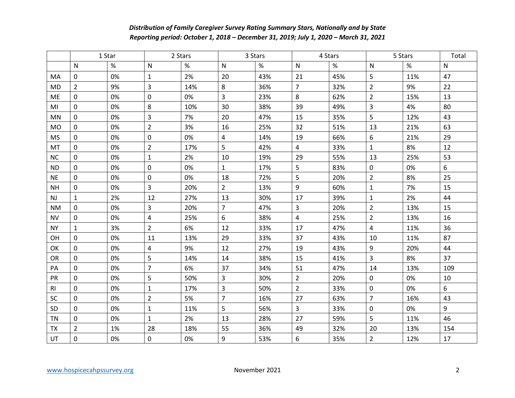## *Distribution of Family Caregiver Survey Rating Summary Stars, Nationally and by State Reporting period: October 1, 2018 – December 31, 2019; July 1, 2020 – March 31, 2021*

|                | 1 Star         |      | 2 Stars        |      | 3 Stars        |      | 4 Stars                 |      | 5 Stars        |     | Total |
|----------------|----------------|------|----------------|------|----------------|------|-------------------------|------|----------------|-----|-------|
|                | $\mathsf{N}$   | $\%$ | $\mathsf{N}$   | $\%$ | N              | $\%$ | N                       | $\%$ | N              | %   | N     |
| MA             | $\mathsf{O}$   | 0%   | $\mathbf{1}$   | 2%   | 20             | 43%  | 21                      | 45%  | 5              | 11% | 47    |
| <b>MD</b>      | $\overline{2}$ | 9%   | $\overline{3}$ | 14%  | 8              | 36%  | $\overline{7}$          | 32%  | $\overline{2}$ | 9%  | 22    |
| ME             | 0              | 0%   | $\mathbf 0$    | 0%   | 3              | 23%  | 8                       | 62%  | $\overline{2}$ | 15% | 13    |
| MI             | $\mathbf 0$    | 0%   | 8              | 10%  | 30             | 38%  | 39                      | 49%  | 3              | 4%  | 80    |
| MN             | 0              | 0%   | $\overline{3}$ | 7%   | 20             | 47%  | 15                      | 35%  | 5              | 12% | 43    |
| <b>MO</b>      | $\mathbf 0$    | 0%   | $\overline{2}$ | 3%   | 16             | 25%  | 32                      | 51%  | 13             | 21% | 63    |
| <b>MS</b>      | $\mathbf 0$    | 0%   | $\mathbf 0$    | 0%   | 4              | 14%  | 19                      | 66%  | 6              | 21% | 29    |
| MT             | $\mathbf 0$    | 0%   | $\overline{2}$ | 17%  | 5              | 42%  | $\overline{\mathbf{4}}$ | 33%  | $\mathbf{1}$   | 8%  | 12    |
| <b>NC</b>      | 0              | 0%   | $\mathbf{1}$   | 2%   | 10             | 19%  | 29                      | 55%  | 13             | 25% | 53    |
| <b>ND</b>      | 0              | 0%   | $\mathbf 0$    | 0%   | $\mathbf{1}$   | 17%  | 5                       | 83%  | 0              | 0%  | 6     |
| <b>NE</b>      | $\mathbf 0$    | 0%   | $\mathbf 0$    | 0%   | 18             | 72%  | 5                       | 20%  | $\overline{2}$ | 8%  | 25    |
| <b>NH</b>      | $\mathbf 0$    | 0%   | $\overline{3}$ | 20%  | $\overline{2}$ | 13%  | 9                       | 60%  | $\mathbf{1}$   | 7%  | 15    |
| NJ             | $\mathbf{1}$   | 2%   | 12             | 27%  | 13             | 30%  | 17                      | 39%  | $\mathbf{1}$   | 2%  | 44    |
| <b>NM</b>      | $\mathbf 0$    | 0%   | $\overline{3}$ | 20%  | $\overline{7}$ | 47%  | 3                       | 20%  | $\overline{2}$ | 13% | 15    |
| <b>NV</b>      | 0              | 0%   | $\overline{4}$ | 25%  | 6              | 38%  | $\overline{4}$          | 25%  | $\overline{2}$ | 13% | 16    |
| <b>NY</b>      | $\mathbf{1}$   | 3%   | $\overline{2}$ | 6%   | 12             | 33%  | 17                      | 47%  | $\overline{4}$ | 11% | 36    |
| OH             | $\mathbf 0$    | 0%   | 11             | 13%  | 29             | 33%  | 37                      | 43%  | 10             | 11% | 87    |
| OK             | $\mathbf 0$    | 0%   | $\overline{4}$ | 9%   | 12             | 27%  | 19                      | 43%  | 9              | 20% | 44    |
| OR             | $\mathbf 0$    | 0%   | 5              | 14%  | 14             | 38%  | 15                      | 41%  | 3              | 8%  | 37    |
| PA             | $\mathbf 0$    | 0%   | $\overline{7}$ | 6%   | 37             | 34%  | 51                      | 47%  | 14             | 13% | 109   |
| PR             | $\mathbf 0$    | 0%   | 5              | 50%  | 3              | 30%  | $\overline{2}$          | 20%  | $\pmb{0}$      | 0%  | 10    |
| R <sub>l</sub> | 0              | 0%   | $\mathbf{1}$   | 17%  | 3              | 50%  | $\overline{2}$          | 33%  | $\mathbf 0$    | 0%  | 6     |
| <b>SC</b>      | $\mathbf{0}$   | 0%   | $\overline{2}$ | 5%   | $\overline{7}$ | 16%  | 27                      | 63%  | $\overline{7}$ | 16% | 43    |
| SD             | $\mathsf{O}$   | 0%   | $\mathbf{1}$   | 11%  | 5              | 56%  | 3                       | 33%  | $\mathbf 0$    | 0%  | 9     |
| <b>TN</b>      | $\mathbf 0$    | 0%   | $\mathbf{1}$   | 2%   | 13             | 28%  | 27                      | 59%  | 5              | 11% | 46    |
| <b>TX</b>      | $\overline{2}$ | 1%   | 28             | 18%  | 55             | 36%  | 49                      | 32%  | 20             | 13% | 154   |
| UT             | 0              | 0%   | 0              | 0%   | 9              | 53%  | 6                       | 35%  | $\overline{2}$ | 12% | 17    |